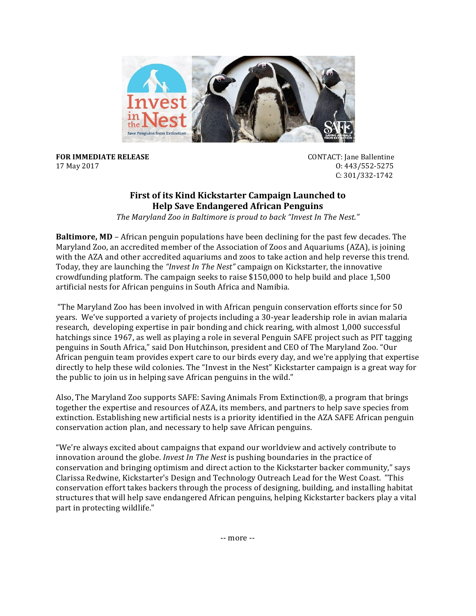

**FOR IMMEDIATE RELEASE** *NECERY <b>CONTACT:* Jane Ballentine 17 May 2017 O: 443/552-5275

 C: 301/332-1742 

## **First of its Kind Kickstarter Campaign Launched to Help Save Endangered African Penguins**

The Maryland Zoo in Baltimore is proud to back "Invest In The Nest."

**Baltimore, MD** – African penguin populations have been declining for the past few decades. The Maryland Zoo, an accredited member of the Association of Zoos and Aquariums (AZA), is joining with the AZA and other accredited aquariums and zoos to take action and help reverse this trend. Today, they are launching the *"Invest In The Nest"* campaign on Kickstarter, the innovative crowdfunding platform. The campaign seeks to raise  $$150,000$  to help build and place  $1,500$ artificial nests for African penguins in South Africa and Namibia.

"The Maryland Zoo has been involved in with African penguin conservation efforts since for 50 years. We've supported a variety of projects including a 30-year leadership role in avian malaria research, developing expertise in pair bonding and chick rearing, with almost 1,000 successful hatchings since 1967, as well as playing a role in several Penguin SAFE project such as PIT tagging penguins in South Africa," said Don Hutchinson, president and CEO of The Maryland Zoo. "Our African penguin team provides expert care to our birds every day, and we're applying that expertise directly to help these wild colonies. The "Invest in the Nest" Kickstarter campaign is a great way for the public to join us in helping save African penguins in the wild."

Also, The Maryland Zoo supports SAFE: Saving Animals From Extinction®, a program that brings together the expertise and resources of AZA, its members, and partners to help save species from extinction. Establishing new artificial nests is a priority identified in the AZA SAFE African penguin conservation action plan, and necessary to help save African penguins.

"We're always excited about campaigns that expand our worldview and actively contribute to innovation around the globe. *Invest In The Nest* is pushing boundaries in the practice of conservation and bringing optimism and direct action to the Kickstarter backer community," says Clarissa Redwine, Kickstarter's Design and Technology Outreach Lead for the West Coast. "This conservation effort takes backers through the process of designing, building, and installing habitat structures that will help save endangered African penguins, helping Kickstarter backers play a vital part in protecting wildlife."

-- more --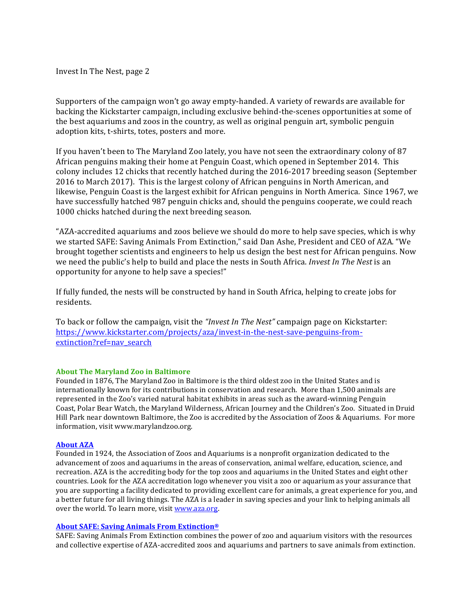Invest In The Nest, page 2

Supporters of the campaign won't go away empty-handed. A variety of rewards are available for backing the Kickstarter campaign, including exclusive behind-the-scenes opportunities at some of the best aquariums and zoos in the country, as well as original penguin art, symbolic penguin adoption kits, t-shirts, totes, posters and more.

If you haven't been to The Maryland Zoo lately, you have not seen the extraordinary colony of 87 African penguins making their home at Penguin Coast, which opened in September 2014. This colony includes 12 chicks that recently hatched during the 2016-2017 breeding season (September 2016 to March 2017). This is the largest colony of African penguins in North American, and likewise, Penguin Coast is the largest exhibit for African penguins in North America. Since 1967, we have successfully hatched 987 penguin chicks and, should the penguins cooperate, we could reach 1000 chicks hatched during the next breeding season.

"AZA-accredited aquariums and zoos believe we should do more to help save species, which is why we started SAFE: Saving Animals From Extinction," said Dan Ashe, President and CEO of AZA. "We brought together scientists and engineers to help us design the best nest for African penguins. Now we need the public's help to build and place the nests in South Africa. *Invest In The Nest* is an opportunity for anyone to help save a species!"

If fully funded, the nests will be constructed by hand in South Africa, helping to create jobs for residents.

To back or follow the campaign, visit the *"Invest In The Nest"* campaign page on Kickstarter: [https://www.kickstarter.com/projects/aza/invest-in-the-nest-save-penguins-from](https://www.kickstarter.com/projects/aza/invest-in-the-nest-save-penguins-from-extinction?ref=nav_search)[extinction?ref=nav\\_search](https://www.kickstarter.com/projects/aza/invest-in-the-nest-save-penguins-from-extinction?ref=nav_search)

## **About The Maryland Zoo in Baltimore**

Founded in 1876, The Maryland Zoo in Baltimore is the third oldest zoo in the United States and is internationally known for its contributions in conservation and research. More than 1,500 animals are represented in the Zoo's varied natural habitat exhibits in areas such as the award-winning Penguin Coast, Polar Bear Watch, the Maryland Wilderness, African Journey and the Children's Zoo. Situated in Druid Hill Park near downtown Baltimore, the Zoo is accredited by the Association of Zoos & Aquariums. For more information, visit [www.marylandzoo.org.](https://urldefense.proofpoint.com/v2/url?u=http-3A__www.marylandzoo.org&d=DwMFAg&c=B73tqXN8Ec0ocRmZHMCntw&r=qU2i1N59gfBonZhOGr1JWalyrg2lnOCmPMQo29_hiUg&m=0qYSeakAIdS5QAhNPZ1Z7ExIBWQwSAEFJnbmhrRcXF8&s=_iSO90Z3J_V2EhpUAYh-WJ4GgvrsL2FFh5WXYc2jcyw&e=)

## **About AZA**

Founded in 1924, the Association of Zoos and Aquariums is a nonprofit organization dedicated to the advancement of zoos and aquariums in the areas of conservation, animal welfare, education, science, and recreation. AZA is the accrediting body for the top zoos and aquariums in the United States and eight other countries. Look for the AZA accreditation logo whenever you visit a zoo or aquarium as your assurance that you are supporting a facility dedicated to providing excellent care for animals, a great experience for you, and a better future for all living things. The AZA is a leader in saving species and your link to helping animals all over the world. To learn more, visit www.aza.org.

## **About SAFE: Saving Animals From Extinction®**

SAFE: Saving Animals From Extinction combines the power of zoo and aquarium visitors with the resources and collective expertise of AZA-accredited zoos and aquariums and partners to save animals from extinction.